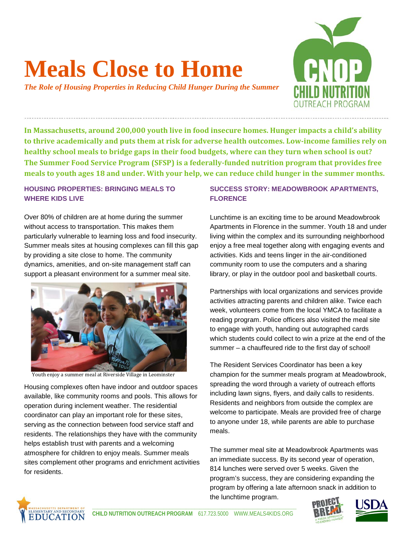# **Meals Close to Home**

*The Role of Housing Properties in Reducing Child Hunger During the Summer*



**In Massachusetts, around 200,000 youth live in food insecure homes. Hunger impacts a child's ability to thrive academically and puts them at risk for adverse health outcomes. Low-income families rely on healthy school meals to bridge gaps in their food budgets, where can they turn when school is out? The Summer Food Service Program (SFSP) is a federally-funded nutrition program that provides free meals to youth ages 18 and under. With your help, we can reduce child hunger in the summer months.**

### **HOUSING PROPERTIES: BRINGING MEALS TO WHERE KIDS LIVE**

ì

Over 80% of children are at home during the summer without access to transportation. This makes them particularly vulnerable to learning loss and food insecurity. Summer meals sites at housing complexes can fill this gap by providing a site close to home. The community dynamics, amenities, and on-site management staff can support a pleasant environment for a summer meal site.



Youth enjoy a summer meal at Riverside Village in Leominster

Housing complexes often have indoor and outdoor spaces available, like community rooms and pools. This allows for operation during inclement weather. The residential coordinator can play an important role for these sites, serving as the connection between food service staff and residents. The relationships they have with the community helps establish trust with parents and a welcoming atmosphere for children to enjoy meals. Summer meals sites complement other programs and enrichment activities for residents.

## **SUCCESS STORY: MEADOWBROOK APARTMENTS, FLORENCE**

Lunchtime is an exciting time to be around Meadowbrook Apartments in Florence in the summer. Youth 18 and under living within the complex and its surrounding neighborhood enjoy a free meal together along with engaging events and activities. Kids and teens linger in the air-conditioned community room to use the computers and a sharing library, or play in the outdoor pool and basketball courts.

Partnerships with local organizations and services provide activities attracting parents and children alike. Twice each week, volunteers come from the local YMCA to facilitate a reading program. Police officers also visited the meal site to engage with youth, handing out autographed cards which students could collect to win a prize at the end of the summer – a chauffeured ride to the first day of school!

The Resident Services Coordinator has been a key champion for the summer meals program at Meadowbrook, spreading the word through a variety of outreach efforts including lawn signs, flyers, and daily calls to residents. Residents and neighbors from outside the complex are welcome to participate. Meals are provided free of charge to anyone under 18, while parents are able to purchase meals.

The summer meal site at Meadowbrook Apartments was an immediate success. By its second year of operation, 814 lunches were served over 5 weeks. Given the program's success, they are considering expanding the program by offering a late afternoon snack in addition to the lunchtime program.